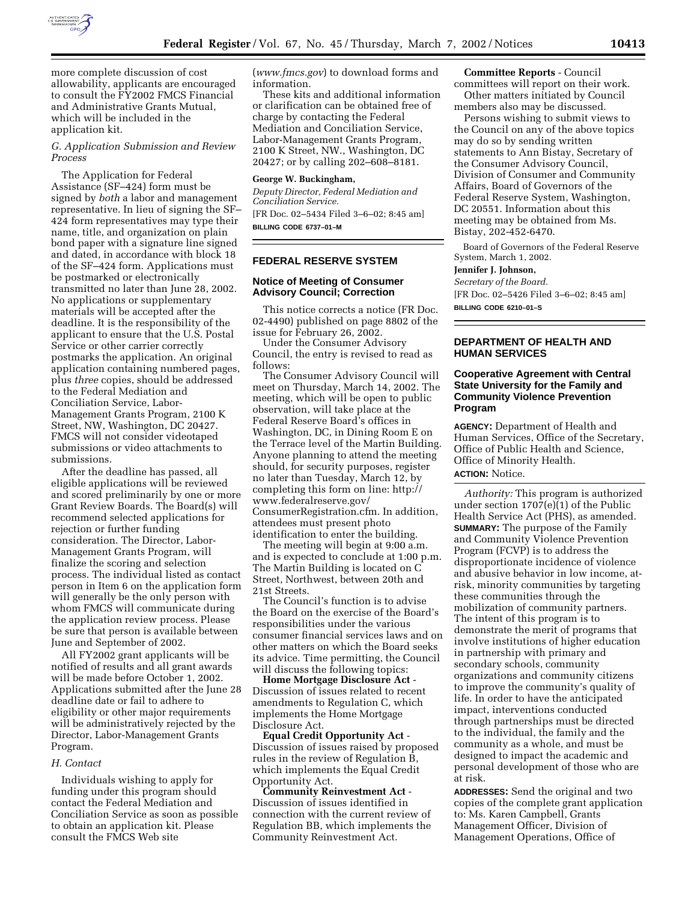

more complete discussion of cost allowability, applicants are encouraged to consult the FY2002 FMCS Financial and Administrative Grants Mutual, which will be included in the application kit.

# *G. Application Submission and Review Process*

The Application for Federal Assistance (SF–424) form must be signed by *both* a labor and management representative. In lieu of signing the SF– 424 form representatives may type their name, title, and organization on plain bond paper with a signature line signed and dated, in accordance with block 18 of the SF–424 form. Applications must be postmarked or electronically transmitted no later than June 28, 2002. No applications or supplementary materials will be accepted after the deadline. It is the responsibility of the applicant to ensure that the U.S. Postal Service or other carrier correctly postmarks the application. An original application containing numbered pages, plus *three* copies, should be addressed to the Federal Mediation and Conciliation Service, Labor-Management Grants Program, 2100 K Street, NW, Washington, DC 20427. FMCS will not consider videotaped submissions or video attachments to submissions.

After the deadline has passed, all eligible applications will be reviewed and scored preliminarily by one or more Grant Review Boards. The Board(s) will recommend selected applications for rejection or further funding consideration. The Director, Labor-Management Grants Program, will finalize the scoring and selection process. The individual listed as contact person in Item 6 on the application form will generally be the only person with whom FMCS will communicate during the application review process. Please be sure that person is available between June and September of 2002.

All FY2002 grant applicants will be notified of results and all grant awards will be made before October 1, 2002. Applications submitted after the June 28 deadline date or fail to adhere to eligibility or other major requirements will be administratively rejected by the Director, Labor-Management Grants Program.

# *H. Contact*

Individuals wishing to apply for funding under this program should contact the Federal Mediation and Conciliation Service as soon as possible to obtain an application kit. Please consult the FMCS Web site

(*www.fmcs.gov*) to download forms and information.

These kits and additional information or clarification can be obtained free of charge by contacting the Federal Mediation and Conciliation Service, Labor-Management Grants Program, 2100 K Street, NW., Washington, DC 20427; or by calling 202–608–8181.

## **George W. Buckingham,**

*Deputy Director, Federal Mediation and Conciliation Service.* [FR Doc. 02–5434 Filed 3–6–02; 8:45 am] **BILLING CODE 6737–01–M**

# **FEDERAL RESERVE SYSTEM**

# **Notice of Meeting of Consumer Advisory Council; Correction**

This notice corrects a notice (FR Doc. 02-4490) published on page 8802 of the issue for February 26, 2002.

Under the Consumer Advisory Council, the entry is revised to read as follows:

The Consumer Advisory Council will meet on Thursday, March 14, 2002. The meeting, which will be open to public observation, will take place at the Federal Reserve Board's offices in Washington, DC, in Dining Room E on the Terrace level of the Martin Building. Anyone planning to attend the meeting should, for security purposes, register no later than Tuesday, March 12, by completing this form on line: http:// www.federalreserve.gov/ ConsumerRegistration.cfm. In addition, attendees must present photo identification to enter the building.

The meeting will begin at 9:00 a.m. and is expected to conclude at 1:00 p.m. The Martin Building is located on C Street, Northwest, between 20th and 21st Streets.

The Council's function is to advise the Board on the exercise of the Board's responsibilities under the various consumer financial services laws and on other matters on which the Board seeks its advice. Time permitting, the Council will discuss the following topics:

**Home Mortgage Disclosure Act** - Discussion of issues related to recent amendments to Regulation C, which implements the Home Mortgage Disclosure Act.

**Equal Credit Opportunity Act** - Discussion of issues raised by proposed rules in the review of Regulation B, which implements the Equal Credit Opportunity Act.

**Community Reinvestment Act** - Discussion of issues identified in connection with the current review of Regulation BB, which implements the Community Reinvestment Act.

**Committee Reports** - Council

committees will report on their work. Other matters initiated by Council members also may be discussed.

Persons wishing to submit views to the Council on any of the above topics may do so by sending written statements to Ann Bistay, Secretary of the Consumer Advisory Council, Division of Consumer and Community Affairs, Board of Governors of the Federal Reserve System, Washington, DC 20551. Information about this meeting may be obtained from Ms. Bistay, 202-452-6470.

Board of Governors of the Federal Reserve System, March 1, 2002.

## **Jennifer J. Johnson,**

*Secretary of the Board.* [FR Doc. 02–5426 Filed 3–6–02; 8:45 am]

**BILLING CODE 6210–01–S**

#### **DEPARTMENT OF HEALTH AND HUMAN SERVICES**

# **Cooperative Agreement with Central State University for the Family and Community Violence Prevention Program**

**AGENCY:** Department of Health and Human Services, Office of the Secretary, Office of Public Health and Science, Office of Minority Health.

## **ACTION:** Notice.

*Authority:* This program is authorized under section  $1707(e)(1)$  of the Public Health Service Act (PHS), as amended. **SUMMARY:** The purpose of the Family and Community Violence Prevention Program (FCVP) is to address the disproportionate incidence of violence and abusive behavior in low income, atrisk, minority communities by targeting these communities through the mobilization of community partners. The intent of this program is to demonstrate the merit of programs that involve institutions of higher education in partnership with primary and secondary schools, community organizations and community citizens to improve the community's quality of life. In order to have the anticipated impact, interventions conducted through partnerships must be directed to the individual, the family and the community as a whole, and must be designed to impact the academic and personal development of those who are at risk.

**ADDRESSES:** Send the original and two copies of the complete grant application to: Ms. Karen Campbell, Grants Management Officer, Division of Management Operations, Office of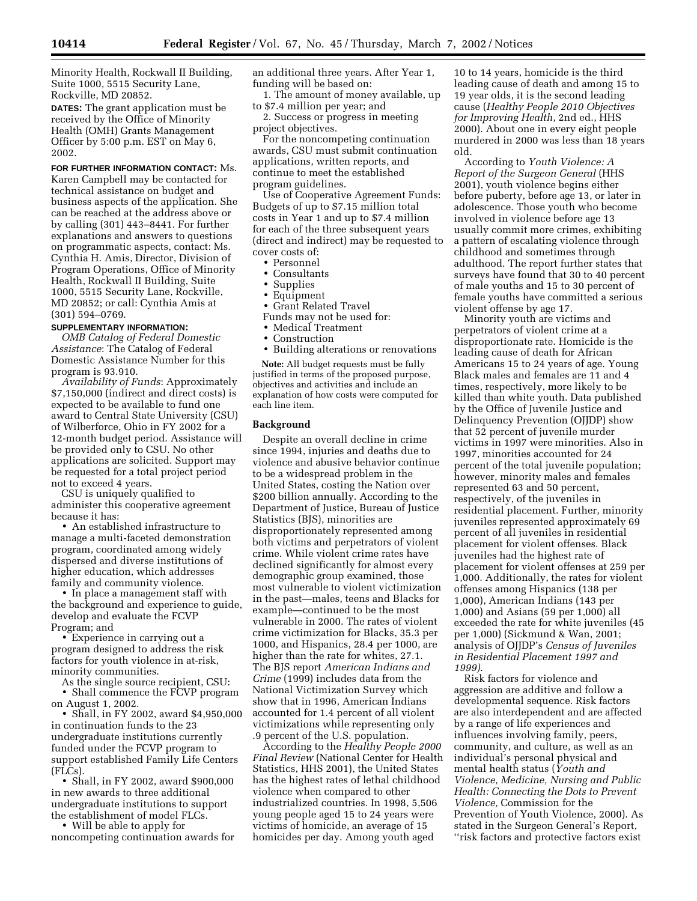Minority Health, Rockwall II Building, Suite 1000, 5515 Security Lane, Rockville, MD 20852.

**DATES:** The grant application must be received by the Office of Minority Health (OMH) Grants Management Officer by 5:00 p.m. EST on May 6, 2002.

**FOR FURTHER INFORMATION CONTACT:** Ms. Karen Campbell may be contacted for technical assistance on budget and business aspects of the application. She can be reached at the address above or by calling (301) 443–8441. For further explanations and answers to questions on programmatic aspects, contact: Ms. Cynthia H. Amis, Director, Division of Program Operations, Office of Minority Health, Rockwall II Building, Suite 1000, 5515 Security Lane, Rockville, MD 20852; or call: Cynthia Amis at (301) 594–0769.

# **SUPPLEMENTARY INFORMATION:**

*OMB Catalog of Federal Domestic Assistance*: The Catalog of Federal Domestic Assistance Number for this program is 93.910.

*Availability of Funds*: Approximately \$7,150,000 (indirect and direct costs) is expected to be available to fund one award to Central State University (CSU) of Wilberforce, Ohio in FY 2002 for a 12-month budget period. Assistance will be provided only to CSU. No other applications are solicited. Support may be requested for a total project period not to exceed 4 years.

CSU is uniquely qualified to administer this cooperative agreement because it has:

• An established infrastructure to manage a multi-faceted demonstration program, coordinated among widely dispersed and diverse institutions of higher education, which addresses family and community violence.

• In place a management staff with the background and experience to guide, develop and evaluate the FCVP Program; and

• Experience in carrying out a program designed to address the risk factors for youth violence in at-risk, minority communities.

As the single source recipient, CSU: • Shall commence the FCVP program on August 1, 2002.

• Shall, in FY 2002, award \$4,950,000 in continuation funds to the 23 undergraduate institutions currently funded under the FCVP program to support established Family Life Centers (FLCs).

• Shall, in FY 2002, award \$900,000 in new awards to three additional undergraduate institutions to support the establishment of model FLCs.

• Will be able to apply for noncompeting continuation awards for an additional three years. After Year 1, funding will be based on:

1. The amount of money available, up to \$7.4 million per year; and

2. Success or progress in meeting project objectives.

For the noncompeting continuation awards, CSU must submit continuation applications, written reports, and continue to meet the established program guidelines.

Use of Cooperative Agreement Funds: Budgets of up to \$7.15 million total costs in Year 1 and up to \$7.4 million for each of the three subsequent years (direct and indirect) may be requested to cover costs of:

- Personnel
- Consultants
- Supplies
- Equipment
- Grant Related Travel
- Funds may not be used for:
- Medical Treatment
- Construction
- Building alterations or renovations

**Note:** All budget requests must be fully justified in terms of the proposed purpose, objectives and activities and include an explanation of how costs were computed for each line item.

## **Background**

Despite an overall decline in crime since 1994, injuries and deaths due to violence and abusive behavior continue to be a widespread problem in the United States, costing the Nation over \$200 billion annually. According to the Department of Justice, Bureau of Justice Statistics (BJS), minorities are disproportionately represented among both victims and perpetrators of violent crime. While violent crime rates have declined significantly for almost every demographic group examined, those most vulnerable to violent victimization in the past—males, teens and Blacks for example—continued to be the most vulnerable in 2000. The rates of violent crime victimization for Blacks, 35.3 per 1000, and Hispanics, 28.4 per 1000, are higher than the rate for whites, 27.1. The BJS report *American Indians and Crime* (1999) includes data from the National Victimization Survey which show that in 1996, American Indians accounted for 1.4 percent of all violent victimizations while representing only .9 percent of the U.S. population.

According to the *Healthy People 2000 Final Review* (National Center for Health Statistics, HHS 2001), the United States has the highest rates of lethal childhood violence when compared to other industrialized countries. In 1998, 5,506 young people aged 15 to 24 years were victims of homicide, an average of 15 homicides per day. Among youth aged

10 to 14 years, homicide is the third leading cause of death and among 15 to 19 year olds, it is the second leading cause (*Healthy People 2010 Objectives for Improving Health*, 2nd ed., HHS 2000). About one in every eight people murdered in 2000 was less than 18 years old.

According to *Youth Violence: A Report of the Surgeon General* (HHS 2001), youth violence begins either before puberty, before age 13, or later in adolescence. Those youth who become involved in violence before age 13 usually commit more crimes, exhibiting a pattern of escalating violence through childhood and sometimes through adulthood. The report further states that surveys have found that 30 to 40 percent of male youths and 15 to 30 percent of female youths have committed a serious violent offense by age 17.

Minority youth are victims and perpetrators of violent crime at a disproportionate rate. Homicide is the leading cause of death for African Americans 15 to 24 years of age. Young Black males and females are 11 and 4 times, respectively, more likely to be killed than white youth. Data published by the Office of Juvenile Justice and Delinquency Prevention (OJJDP) show that 52 percent of juvenile murder victims in 1997 were minorities. Also in 1997, minorities accounted for 24 percent of the total juvenile population; however, minority males and females represented 63 and 50 percent, respectively, of the juveniles in residential placement. Further, minority juveniles represented approximately 69 percent of all juveniles in residential placement for violent offenses. Black juveniles had the highest rate of placement for violent offenses at 259 per 1,000. Additionally, the rates for violent offenses among Hispanics (138 per 1,000), American Indians (143 per 1,000) and Asians (59 per 1,000) all exceeded the rate for white juveniles (45 per 1,000) (Sickmund & Wan, 2001; analysis of OJJDP's *Census of Juveniles in Residential Placement 1997 and 1999)*.

Risk factors for violence and aggression are additive and follow a developmental sequence. Risk factors are also interdependent and are affected by a range of life experiences and influences involving family, peers, community, and culture, as well as an individual's personal physical and mental health status (*Youth and Violence, Medicine, Nursing and Public Health: Connecting the Dots to Prevent Violence,* Commission for the Prevention of Youth Violence, 2000). As stated in the Surgeon General's Report, ''risk factors and protective factors exist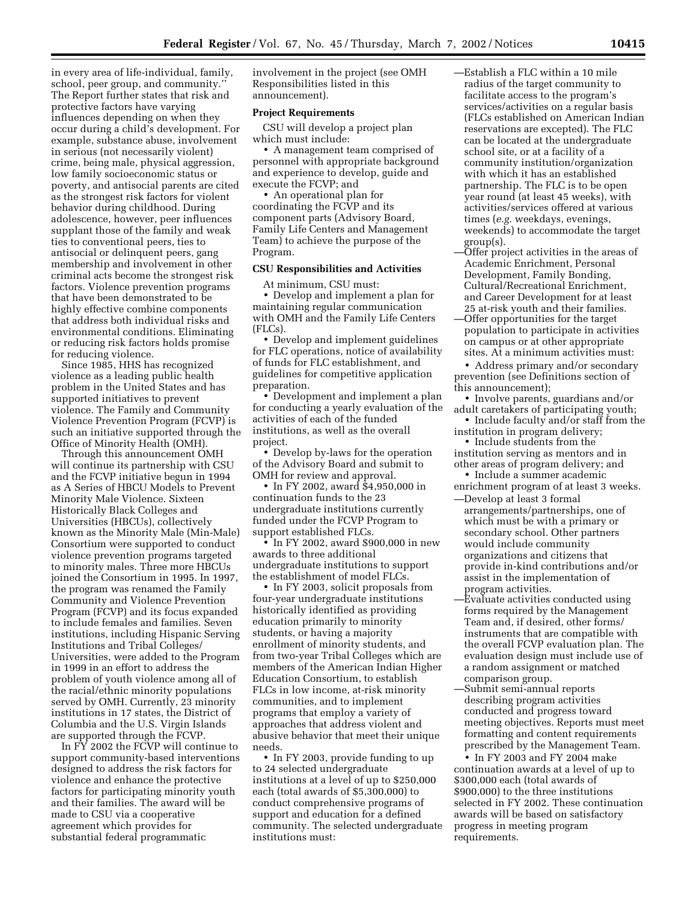in every area of life-individual, family, school, peer group, and community.'' The Report further states that risk and protective factors have varying influences depending on when they occur during a child's development. For example, substance abuse, involvement in serious (not necessarily violent) crime, being male, physical aggression, low family socioeconomic status or poverty, and antisocial parents are cited as the strongest risk factors for violent behavior during childhood. During adolescence, however, peer influences supplant those of the family and weak ties to conventional peers, ties to antisocial or delinquent peers, gang membership and involvement in other criminal acts become the strongest risk factors. Violence prevention programs that have been demonstrated to be highly effective combine components that address both individual risks and environmental conditions. Eliminating or reducing risk factors holds promise for reducing violence.

Since 1985, HHS has recognized violence as a leading public health problem in the United States and has supported initiatives to prevent violence. The Family and Community Violence Prevention Program (FCVP) is such an initiative supported through the Office of Minority Health (OMH).

Through this announcement OMH will continue its partnership with CSU and the FCVP initiative begun in 1994 as A Series of HBCU Models to Prevent Minority Male Violence. Sixteen Historically Black Colleges and Universities (HBCUs), collectively known as the Minority Male (Min-Male) Consortium were supported to conduct violence prevention programs targeted to minority males. Three more HBCUs joined the Consortium in 1995. In 1997, the program was renamed the Family Community and Violence Prevention Program (FCVP) and its focus expanded to include females and families. Seven institutions, including Hispanic Serving Institutions and Tribal Colleges/ Universities, were added to the Program in 1999 in an effort to address the problem of youth violence among all of the racial/ethnic minority populations served by OMH. Currently, 23 minority institutions in 17 states, the District of Columbia and the U.S. Virgin Islands are supported through the FCVP.

In FY 2002 the FCVP will continue to support community-based interventions designed to address the risk factors for violence and enhance the protective factors for participating minority youth and their families. The award will be made to CSU via a cooperative agreement which provides for substantial federal programmatic

involvement in the project (see OMH Responsibilities listed in this announcement).

## **Project Requirements**

CSU will develop a project plan which must include:

• A management team comprised of personnel with appropriate background and experience to develop, guide and execute the FCVP; and

• An operational plan for coordinating the FCVP and its component parts (Advisory Board, Family Life Centers and Management Team) to achieve the purpose of the Program.

#### **CSU Responsibilities and Activities**

At minimum, CSU must: • Develop and implement a plan for maintaining regular communication with OMH and the Family Life Centers (FLCs).

• Develop and implement guidelines for FLC operations, notice of availability of funds for FLC establishment, and guidelines for competitive application preparation.

• Development and implement a plan for conducting a yearly evaluation of the activities of each of the funded institutions, as well as the overall project.

• Develop by-laws for the operation of the Advisory Board and submit to OMH for review and approval.

• In FY 2002, award \$4,950,000 in continuation funds to the 23 undergraduate institutions currently funded under the FCVP Program to support established FLCs.

• In FY 2002, award \$900,000 in new awards to three additional undergraduate institutions to support the establishment of model FLCs.

• In FY 2003, solicit proposals from four-year undergraduate institutions historically identified as providing education primarily to minority students, or having a majority enrollment of minority students, and from two-year Tribal Colleges which are members of the American Indian Higher Education Consortium, to establish FLCs in low income, at-risk minority communities, and to implement programs that employ a variety of approaches that address violent and abusive behavior that meet their unique needs.

• In FY 2003, provide funding to up to 24 selected undergraduate institutions at a level of up to \$250,000 each (total awards of \$5,300,000) to conduct comprehensive programs of support and education for a defined community. The selected undergraduate institutions must:

—Establish a FLC within a 10 mile radius of the target community to facilitate access to the program's services/activities on a regular basis (FLCs established on American Indian reservations are excepted). The FLC can be located at the undergraduate school site, or at a facility of a community institution/organization with which it has an established partnership. The FLC is to be open year round (at least 45 weeks), with activities/services offered at various times (*e.g.* weekdays, evenings, weekends) to accommodate the target group(s).

—Offer project activities in the areas of Academic Enrichment, Personal Development, Family Bonding, Cultural/Recreational Enrichment, and Career Development for at least 25 at-risk youth and their families.

—Offer opportunities for the target population to participate in activities on campus or at other appropriate sites. At a minimum activities must:

• Address primary and/or secondary prevention (see Definitions section of this announcement);

• Involve parents, guardians and/or adult caretakers of participating youth;

• Include faculty and/or staff from the institution in program delivery;

• Include students from the institution serving as mentors and in other areas of program delivery; and

• Include a summer academic enrichment program of at least 3 weeks.

- —Develop at least 3 formal arrangements/partnerships, one of which must be with a primary or secondary school. Other partners would include community organizations and citizens that provide in-kind contributions and/or assist in the implementation of program activities.
- —Evaluate activities conducted using forms required by the Management Team and, if desired, other forms/ instruments that are compatible with the overall FCVP evaluation plan. The evaluation design must include use of a random assignment or matched comparison group.
- —Submit semi-annual reports describing program activities conducted and progress toward meeting objectives. Reports must meet formatting and content requirements prescribed by the Management Team.

• In FY 2003 and FY 2004 make continuation awards at a level of up to \$300,000 each (total awards of \$900,000) to the three institutions selected in FY 2002. These continuation awards will be based on satisfactory progress in meeting program requirements.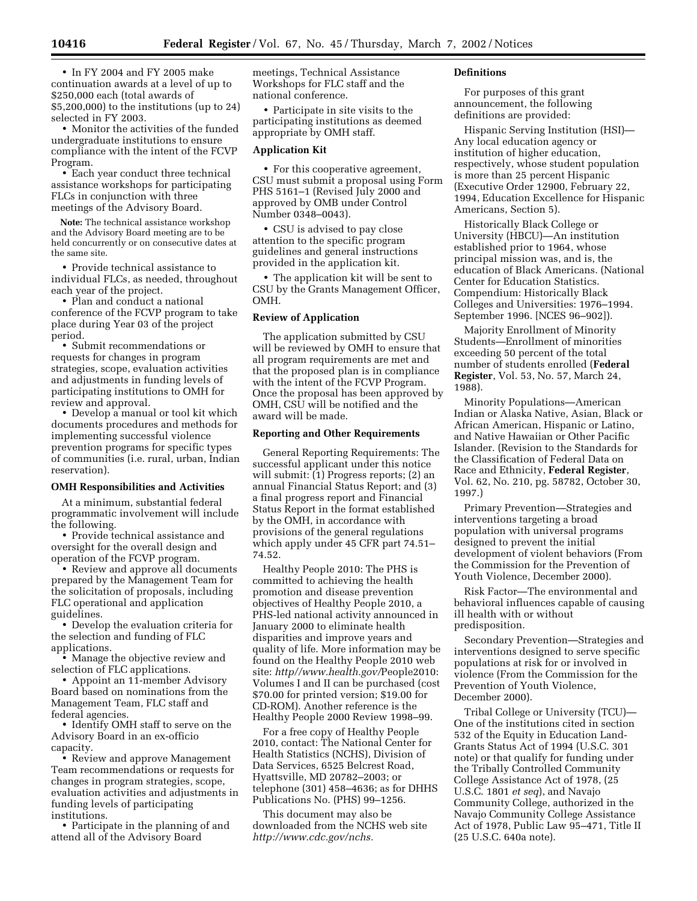• In FY 2004 and FY 2005 make continuation awards at a level of up to \$250,000 each (total awards of \$5,200,000) to the institutions (up to 24) selected in FY 2003.

• Monitor the activities of the funded undergraduate institutions to ensure compliance with the intent of the FCVP Program.

• Each year conduct three technical assistance workshops for participating FLCs in conjunction with three meetings of the Advisory Board.

**Note:** The technical assistance workshop and the Advisory Board meeting are to be held concurrently or on consecutive dates at the same site.

• Provide technical assistance to individual FLCs, as needed, throughout each year of the project.

• Plan and conduct a national conference of the FCVP program to take place during Year 03 of the project period.

• Submit recommendations or requests for changes in program strategies, scope, evaluation activities and adjustments in funding levels of participating institutions to OMH for review and approval.

• Develop a manual or tool kit which documents procedures and methods for implementing successful violence prevention programs for specific types of communities (i.e. rural, urban, Indian reservation).

## **OMH Responsibilities and Activities**

At a minimum, substantial federal programmatic involvement will include the following.

• Provide technical assistance and oversight for the overall design and operation of the FCVP program.

• Review and approve all documents prepared by the Management Team for the solicitation of proposals, including FLC operational and application guidelines.

• Develop the evaluation criteria for the selection and funding of FLC applications.

• Manage the objective review and selection of FLC applications.

• Appoint an 11-member Advisory Board based on nominations from the Management Team, FLC staff and federal agencies.

• Identify OMH staff to serve on the Advisory Board in an ex-officio capacity.

• Review and approve Management Team recommendations or requests for changes in program strategies, scope, evaluation activities and adjustments in funding levels of participating institutions.

• Participate in the planning of and attend all of the Advisory Board

meetings, Technical Assistance Workshops for FLC staff and the national conference.

• Participate in site visits to the participating institutions as deemed appropriate by OMH staff.

# **Application Kit**

• For this cooperative agreement, CSU must submit a proposal using Form PHS 5161–1 (Revised July 2000 and approved by OMB under Control Number 0348–0043).

• CSU is advised to pay close attention to the specific program guidelines and general instructions provided in the application kit.

• The application kit will be sent to CSU by the Grants Management Officer, OMH.

## **Review of Application**

The application submitted by CSU will be reviewed by OMH to ensure that all program requirements are met and that the proposed plan is in compliance with the intent of the FCVP Program. Once the proposal has been approved by OMH, CSU will be notified and the award will be made.

### **Reporting and Other Requirements**

General Reporting Requirements: The successful applicant under this notice will submit: (1) Progress reports; (2) an annual Financial Status Report; and (3) a final progress report and Financial Status Report in the format established by the OMH, in accordance with provisions of the general regulations which apply under 45 CFR part 74.51– 74.52.

Healthy People 2010: The PHS is committed to achieving the health promotion and disease prevention objectives of Healthy People 2010, a PHS-led national activity announced in January 2000 to eliminate health disparities and improve years and quality of life. More information may be found on the Healthy People 2010 web site: *http//www.health.gov/*People2010: Volumes I and II can be purchased (cost \$70.00 for printed version; \$19.00 for CD-ROM). Another reference is the Healthy People 2000 Review 1998–99.

For a free copy of Healthy People 2010, contact: The National Center for Health Statistics (NCHS), Division of Data Services, 6525 Belcrest Road, Hyattsville, MD 20782–2003; or telephone (301) 458–4636; as for DHHS Publications No. (PHS) 99–1256.

This document may also be downloaded from the NCHS web site *http://www.cdc.gov/nchs.*

# **Definitions**

For purposes of this grant announcement, the following definitions are provided:

Hispanic Serving Institution (HSI)— Any local education agency or institution of higher education, respectively, whose student population is more than 25 percent Hispanic (Executive Order 12900, February 22, 1994, Education Excellence for Hispanic Americans, Section 5).

Historically Black College or University (HBCU)—An institution established prior to 1964, whose principal mission was, and is, the education of Black Americans. (National Center for Education Statistics. Compendium: Historically Black Colleges and Universities: 1976–1994. September 1996. [NCES 96–902]).

Majority Enrollment of Minority Students—Enrollment of minorities exceeding 50 percent of the total number of students enrolled (**Federal Register**, Vol. 53, No. 57, March 24, 1988).

Minority Populations—American Indian or Alaska Native, Asian, Black or African American, Hispanic or Latino, and Native Hawaiian or Other Pacific Islander. (Revision to the Standards for the Classification of Federal Data on Race and Ethnicity, **Federal Register**, Vol. 62, No. 210, pg. 58782, October 30, 1997.)

Primary Prevention—Strategies and interventions targeting a broad population with universal programs designed to prevent the initial development of violent behaviors (From the Commission for the Prevention of Youth Violence, December 2000).

Risk Factor—The environmental and behavioral influences capable of causing ill health with or without predisposition.

Secondary Prevention—Strategies and interventions designed to serve specific populations at risk for or involved in violence (From the Commission for the Prevention of Youth Violence, December 2000).

Tribal College or University (TCU)— One of the institutions cited in section 532 of the Equity in Education Land-Grants Status Act of 1994 (U.S.C. 301 note) or that qualify for funding under the Tribally Controlled Community College Assistance Act of 1978, (25 U.S.C. 1801 *et seq*), and Navajo Community College, authorized in the Navajo Community College Assistance Act of 1978, Public Law 95–471, Title II (25 U.S.C. 640a note).